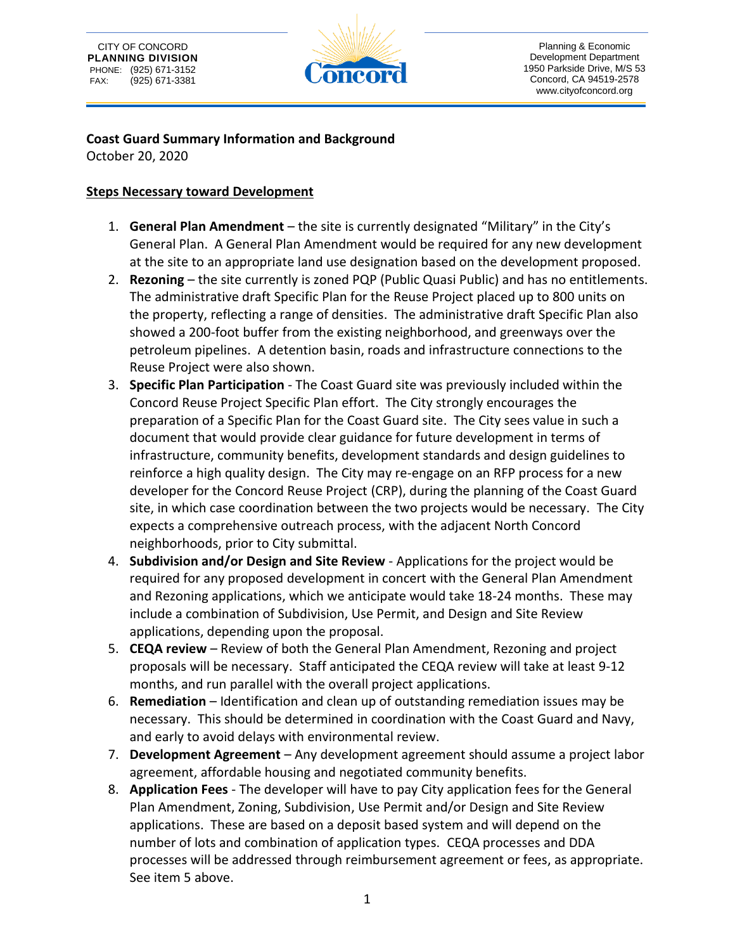



Planning & Economic Development Department 1950 Parkside Drive, M/S 53 Concord, CA 94519-2578 www.cityofconcord.org

#### **Coast Guard Summary Information and Background**

October 20, 2020

#### **Steps Necessary toward Development**

- 1. **General Plan Amendment** the site is currently designated "Military" in the City's General Plan. A General Plan Amendment would be required for any new development at the site to an appropriate land use designation based on the development proposed.
- 2. **Rezoning** the site currently is zoned PQP (Public Quasi Public) and has no entitlements. The administrative draft Specific Plan for the Reuse Project placed up to 800 units on the property, reflecting a range of densities. The administrative draft Specific Plan also showed a 200-foot buffer from the existing neighborhood, and greenways over the petroleum pipelines. A detention basin, roads and infrastructure connections to the Reuse Project were also shown.
- 3. **Specific Plan Participation** The Coast Guard site was previously included within the Concord Reuse Project Specific Plan effort. The City strongly encourages the preparation of a Specific Plan for the Coast Guard site. The City sees value in such a document that would provide clear guidance for future development in terms of infrastructure, community benefits, development standards and design guidelines to reinforce a high quality design. The City may re-engage on an RFP process for a new developer for the Concord Reuse Project (CRP), during the planning of the Coast Guard site, in which case coordination between the two projects would be necessary. The City expects a comprehensive outreach process, with the adjacent North Concord neighborhoods, prior to City submittal.
- 4. **Subdivision and/or Design and Site Review** Applications for the project would be required for any proposed development in concert with the General Plan Amendment and Rezoning applications, which we anticipate would take 18-24 months. These may include a combination of Subdivision, Use Permit, and Design and Site Review applications, depending upon the proposal.
- 5. **CEQA review** Review of both the General Plan Amendment, Rezoning and project proposals will be necessary. Staff anticipated the CEQA review will take at least 9-12 months, and run parallel with the overall project applications.
- 6. **Remediation** Identification and clean up of outstanding remediation issues may be necessary. This should be determined in coordination with the Coast Guard and Navy, and early to avoid delays with environmental review.
- 7. **Development Agreement** Any development agreement should assume a project labor agreement, affordable housing and negotiated community benefits.
- 8. **Application Fees** The developer will have to pay City application fees for the General Plan Amendment, Zoning, Subdivision, Use Permit and/or Design and Site Review applications. These are based on a deposit based system and will depend on the number of lots and combination of application types. CEQA processes and DDA processes will be addressed through reimbursement agreement or fees, as appropriate. See item 5 above.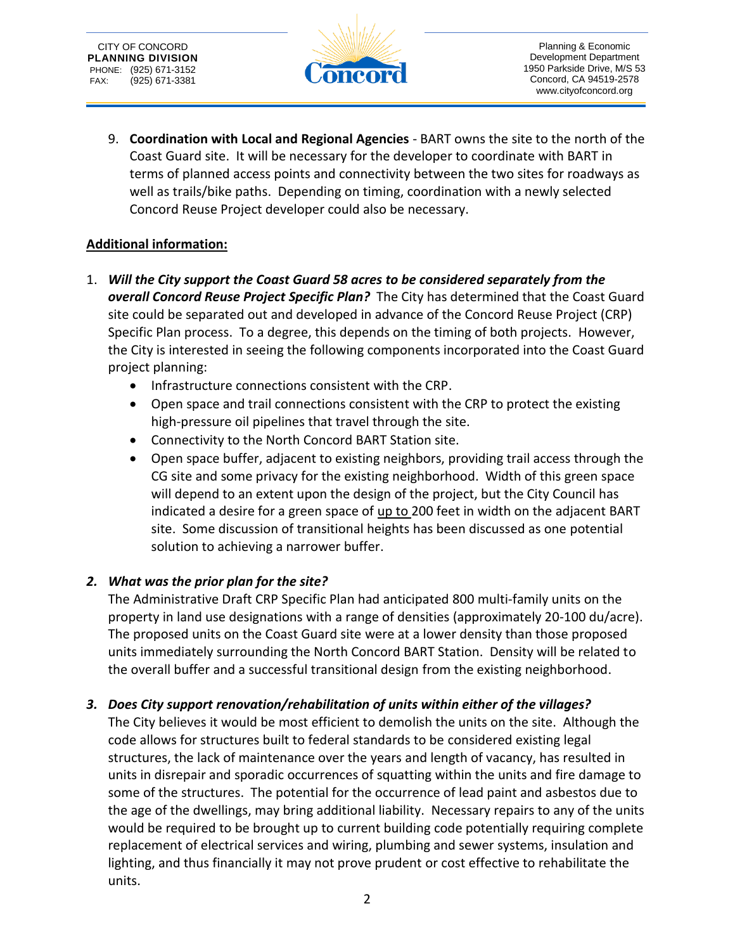

Planning & Economic Development Department 1950 Parkside Drive, M/S 53 Concord, CA 94519-2578 www.cityofconcord.org

9. **Coordination with Local and Regional Agencies** - BART owns the site to the north of the Coast Guard site. It will be necessary for the developer to coordinate with BART in terms of planned access points and connectivity between the two sites for roadways as well as trails/bike paths. Depending on timing, coordination with a newly selected Concord Reuse Project developer could also be necessary.

## **Additional information:**

- 1. *Will the City support the Coast Guard 58 acres to be considered separately from the overall Concord Reuse Project Specific Plan?* The City has determined that the Coast Guard site could be separated out and developed in advance of the Concord Reuse Project (CRP) Specific Plan process. To a degree, this depends on the timing of both projects. However, the City is interested in seeing the following components incorporated into the Coast Guard project planning:
	- Infrastructure connections consistent with the CRP.
	- Open space and trail connections consistent with the CRP to protect the existing high-pressure oil pipelines that travel through the site.
	- Connectivity to the North Concord BART Station site.
	- Open space buffer, adjacent to existing neighbors, providing trail access through the CG site and some privacy for the existing neighborhood. Width of this green space will depend to an extent upon the design of the project, but the City Council has indicated a desire for a green space of up to 200 feet in width on the adjacent BART site. Some discussion of transitional heights has been discussed as one potential solution to achieving a narrower buffer.

## *2. What was the prior plan for the site?*

The Administrative Draft CRP Specific Plan had anticipated 800 multi-family units on the property in land use designations with a range of densities (approximately 20-100 du/acre). The proposed units on the Coast Guard site were at a lower density than those proposed units immediately surrounding the North Concord BART Station. Density will be related to the overall buffer and a successful transitional design from the existing neighborhood.

## *3. Does City support renovation/rehabilitation of units within either of the villages?*

The City believes it would be most efficient to demolish the units on the site. Although the code allows for structures built to federal standards to be considered existing legal structures, the lack of maintenance over the years and length of vacancy, has resulted in units in disrepair and sporadic occurrences of squatting within the units and fire damage to some of the structures. The potential for the occurrence of lead paint and asbestos due to the age of the dwellings, may bring additional liability. Necessary repairs to any of the units would be required to be brought up to current building code potentially requiring complete replacement of electrical services and wiring, plumbing and sewer systems, insulation and lighting, and thus financially it may not prove prudent or cost effective to rehabilitate the units.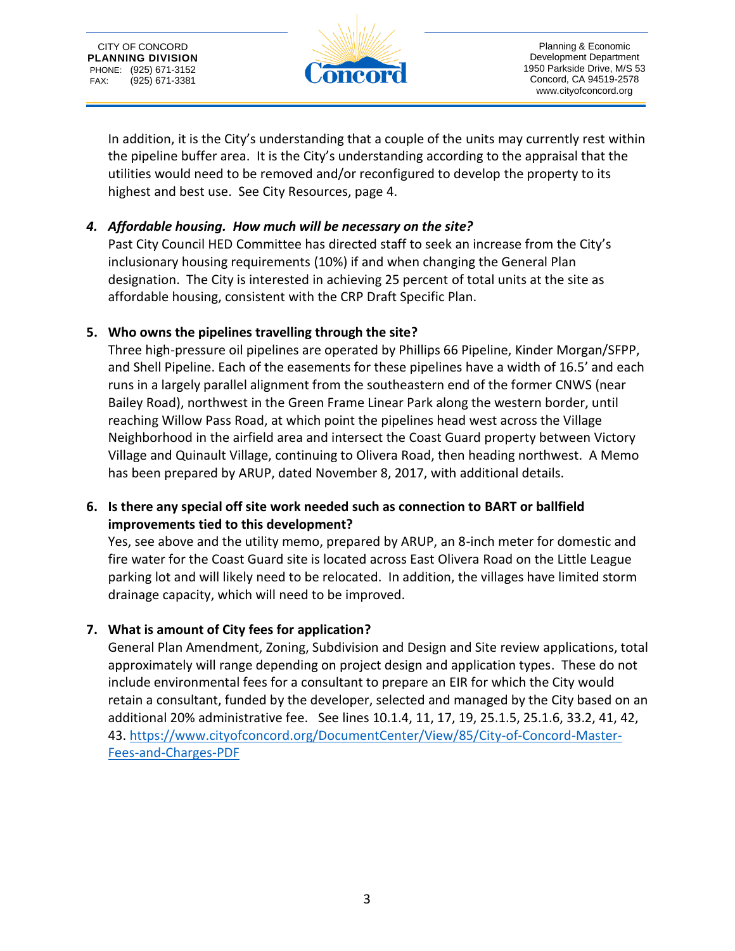



Planning & Economic Development Department 1950 Parkside Drive, M/S 53 Concord, CA 94519-2578 www.cityofconcord.org

In addition, it is the City's understanding that a couple of the units may currently rest within the pipeline buffer area. It is the City's understanding according to the appraisal that the utilities would need to be removed and/or reconfigured to develop the property to its highest and best use. See City Resources, page 4.

## *4. Affordable housing. How much will be necessary on the site?*

Past City Council HED Committee has directed staff to seek an increase from the City's inclusionary housing requirements (10%) if and when changing the General Plan designation. The City is interested in achieving 25 percent of total units at the site as affordable housing, consistent with the CRP Draft Specific Plan.

## **5. Who owns the pipelines travelling through the site?**

Three high-pressure oil pipelines are operated by Phillips 66 Pipeline, Kinder Morgan/SFPP, and Shell Pipeline. Each of the easements for these pipelines have a width of 16.5' and each runs in a largely parallel alignment from the southeastern end of the former CNWS (near Bailey Road), northwest in the Green Frame Linear Park along the western border, until reaching Willow Pass Road, at which point the pipelines head west across the Village Neighborhood in the airfield area and intersect the Coast Guard property between Victory Village and Quinault Village, continuing to Olivera Road, then heading northwest. A Memo has been prepared by ARUP, dated November 8, 2017, with additional details.

## **6. Is there any special off site work needed such as connection to BART or ballfield improvements tied to this development?**

Yes, see above and the utility memo, prepared by ARUP, an 8-inch meter for domestic and fire water for the Coast Guard site is located across East Olivera Road on the Little League parking lot and will likely need to be relocated. In addition, the villages have limited storm drainage capacity, which will need to be improved.

## **7. What is amount of City fees for application?**

General Plan Amendment, Zoning, Subdivision and Design and Site review applications, total approximately will range depending on project design and application types. These do not include environmental fees for a consultant to prepare an EIR for which the City would retain a consultant, funded by the developer, selected and managed by the City based on an additional 20% administrative fee. See lines 10.1.4, 11, 17, 19, 25.1.5, 25.1.6, 33.2, 41, 42, 43. [https://www.cityofconcord.org/DocumentCenter/View/85/City-of-Concord-Master-](https://www.cityofconcord.org/DocumentCenter/View/85/City-of-Concord-Master-Fees-and-Charges-PDF)[Fees-and-Charges-PDF](https://www.cityofconcord.org/DocumentCenter/View/85/City-of-Concord-Master-Fees-and-Charges-PDF)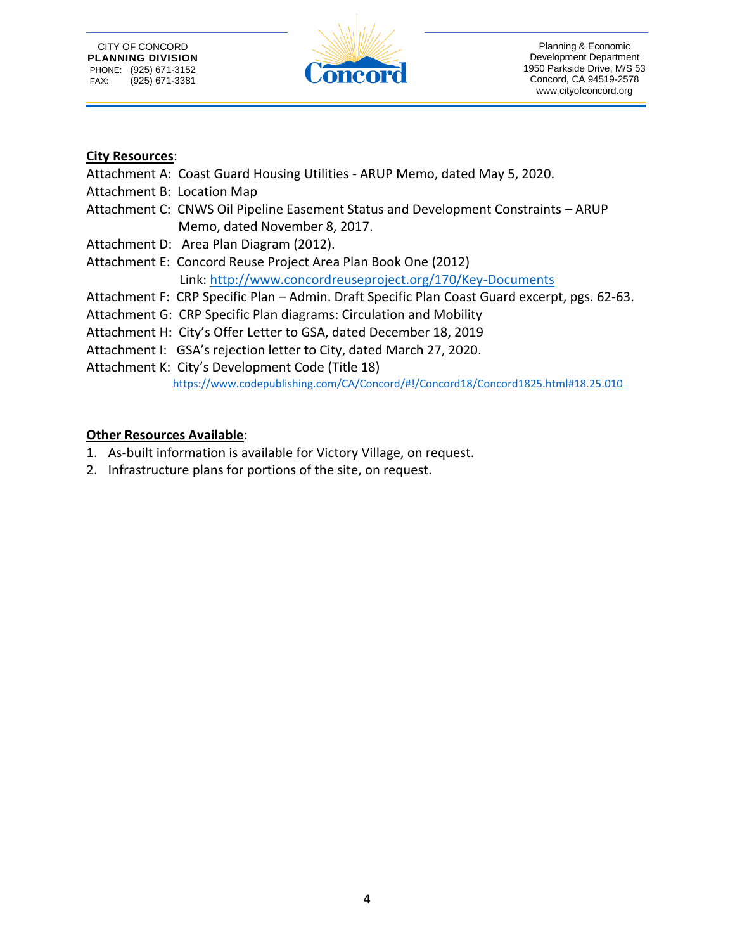

#### **City Resources**:

- Attachment A: Coast Guard Housing Utilities ARUP Memo, dated May 5, 2020.
- Attachment B: Location Map
- Attachment C: CNWS Oil Pipeline Easement Status and Development Constraints ARUP Memo, dated November 8, 2017.
- Attachment D: Area Plan Diagram (2012).
- Attachment E: Concord Reuse Project Area Plan Book One (2012) Link:<http://www.concordreuseproject.org/170/Key-Documents>
- Attachment F: CRP Specific Plan Admin. Draft Specific Plan Coast Guard excerpt, pgs. 62-63.
- Attachment G: CRP Specific Plan diagrams: Circulation and Mobility
- Attachment H: City's Offer Letter to GSA, dated December 18, 2019
- Attachment I: GSA's rejection letter to City, dated March 27, 2020.
- Attachment K: City's Development Code (Title 18)

<https://www.codepublishing.com/CA/Concord/#!/Concord18/Concord1825.html#18.25.010>

## **Other Resources Available**:

- 1. As-built information is available for Victory Village, on request.
- 2. Infrastructure plans for portions of the site, on request.